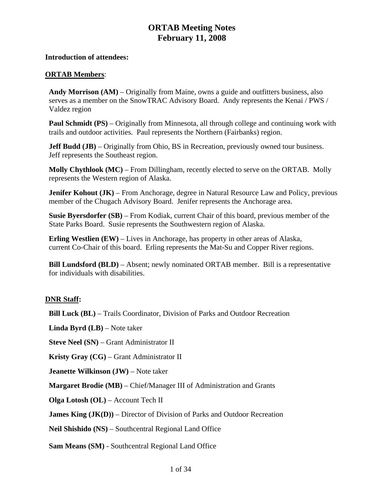# **ORTAB Meeting Notes February 11, 2008**

#### **Introduction of attendees:**

#### **ORTAB Members**:

**Andy Morrison (AM)** – Originally from Maine, owns a guide and outfitters business, also serves as a member on the SnowTRAC Advisory Board. Andy represents the Kenai / PWS / Valdez region

**Paul Schmidt (PS)** – Originally from Minnesota, all through college and continuing work with trails and outdoor activities. Paul represents the Northern (Fairbanks) region.

**Jeff Budd (JB)** – Originally from Ohio, BS in Recreation, previously owned tour business. Jeff represents the Southeast region.

**Molly Chythlook (MC)** – From Dillingham, recently elected to serve on the ORTAB. Molly represents the Western region of Alaska.

**Jenifer Kohout (JK)** – From Anchorage, degree in Natural Resource Law and Policy, previous member of the Chugach Advisory Board. Jenifer represents the Anchorage area.

**Susie Byersdorfer (SB)** – From Kodiak, current Chair of this board, previous member of the State Parks Board. Susie represents the Southwestern region of Alaska.

**Erling Westlien (EW)** – Lives in Anchorage, has property in other areas of Alaska, current Co-Chair of this board. Erling represents the Mat-Su and Copper River regions.

**Bill Lundsford (BLD)** – Absent; newly nominated ORTAB member. Bill is a representative for individuals with disabilities.

#### **DNR Staff:**

**Bill Luck (BL)** – Trails Coordinator, Division of Parks and Outdoor Recreation

**Linda Byrd (LB)** – Note taker

**Steve Neel (SN)** – Grant Administrator II

**Kristy Gray (CG)** – Grant Administrator II

**Jeanette Wilkinson (JW)** – Note taker

**Margaret Brodie (MB)** – Chief/Manager III of Administration and Grants

**Olga Lotosh (OL)** – Account Tech II

**James King (JK(D))** – Director of Division of Parks and Outdoor Recreation

**Neil Shishido (NS)** – Southcentral Regional Land Office

**Sam Means (SM)** - Southcentral Regional Land Office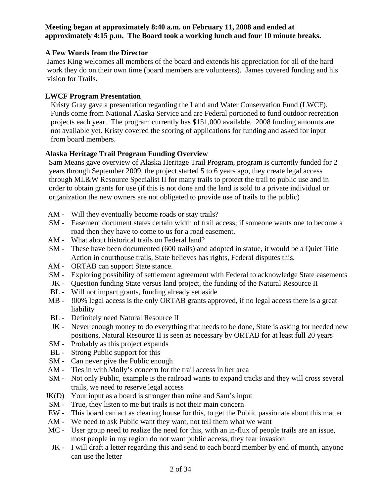#### **Meeting began at approximately 8:40 a.m. on February 11, 2008 and ended at approximately 4:15 p.m. The Board took a working lunch and four 10 minute breaks.**

#### **A Few Words from the Director**

James King welcomes all members of the board and extends his appreciation for all of the hard work they do on their own time (board members are volunteers). James covered funding and his vision for Trails.

#### **LWCF Program Presentation**

Kristy Gray gave a presentation regarding the Land and Water Conservation Fund (LWCF). Funds come from National Alaska Service and are Federal portioned to fund outdoor recreation projects each year. The program currently has \$151,000 available. 2008 funding amounts are not available yet. Kristy covered the scoring of applications for funding and asked for input from board members.

#### **Alaska Heritage Trail Program Funding Overview**

 Sam Means gave overview of Alaska Heritage Trail Program, program is currently funded for 2 years through September 2009, the project started 5 to 6 years ago, they create legal access through ML&W Resource Specialist II for many trails to protect the trail to public use and in order to obtain grants for use (if this is not done and the land is sold to a private individual or organization the new owners are not obligated to provide use of trails to the public)

- AM Will they eventually become roads or stay trails?
- SM Easement document states certain width of trail access; if someone wants one to become a road then they have to come to us for a road easement.
- AM What about historical trails on Federal land?
- SM These have been documented (600 trails) and adopted in statue, it would be a Quiet Title Action in courthouse trails, State believes has rights, Federal disputes this.
- AM ORTAB can support State stance.
- SM Exploring possibility of settlement agreement with Federal to acknowledge State easements
- JK Question funding State versus land project, the funding of the Natural Resource II
- BL Will not impact grants, funding already set aside
- MB  $100\%$  legal access is the only ORTAB grants approved, if no legal access there is a great liability
- BL Definitely need Natural Resource II
- JK Never enough money to do everything that needs to be done, State is asking for needed new positions, Natural Resource II is seen as necessary by ORTAB for at least full 20 years
- SM Probably as this project expands
- BL Strong Public support for this
- SM Can never give the Public enough
- AM Ties in with Molly's concern for the trail access in her area
- SM Not only Public, example is the railroad wants to expand tracks and they will cross several trails, we need to reserve legal access
- JK(D) Your input as a board is stronger than mine and Sam's input
- SM True, they listen to me but trails is not their main concern
- EW This board can act as clearing house for this, to get the Public passionate about this matter
- AM We need to ask Public want they want, not tell them what we want
- MC User group need to realize the need for this, with an in-flux of people trails are an issue, most people in my region do not want public access, they fear invasion
- JK I will draft a letter regarding this and send to each board member by end of month, anyone can use the letter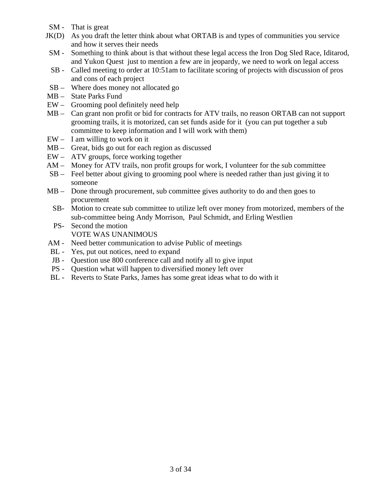- SM That is great
- JK(D) As you draft the letter think about what ORTAB is and types of communities you service and how it serves their needs
- SM Something to think about is that without these legal access the Iron Dog Sled Race, Iditarod, and Yukon Quest just to mention a few are in jeopardy, we need to work on legal access
- SB Called meeting to order at 10:51am to facilitate scoring of projects with discussion of pros and cons of each project
- SB Where does money not allocated go
- MB State Parks Fund
- EW Grooming pool definitely need help
- MB Can grant non profit or bid for contracts for ATV trails, no reason ORTAB can not support grooming trails, it is motorized, can set funds aside for it (you can put together a sub committee to keep information and I will work with them)
- $EW I$  am willing to work on it
- MB Great, bids go out for each region as discussed
- EW ATV groups, force working together
- AM Money for ATV trails, non profit groups for work, I volunteer for the sub committee
- SB Feel better about giving to grooming pool where is needed rather than just giving it to someone
- MB Done through procurement, sub committee gives authority to do and then goes to procurement
	- SB- Motion to create sub committee to utilize left over money from motorized, members of the sub-committee being Andy Morrison, Paul Schmidt, and Erling Westlien
	- PS- Second the motion VOTE WAS UNANIMOUS
- AM Need better communication to advise Public of meetings
- BL Yes, put out notices, need to expand
- JB Question use 800 conference call and notify all to give input
- PS Question what will happen to diversified money left over
- BL Reverts to State Parks, James has some great ideas what to do with it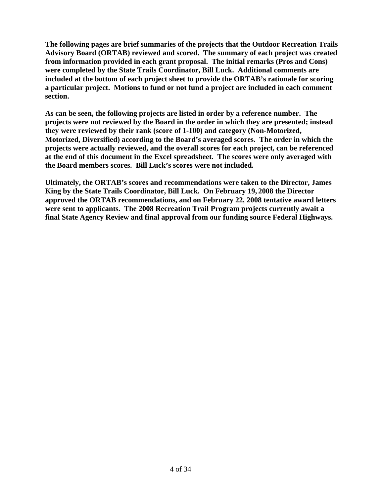**The following pages are brief summaries of the projects that the Outdoor Recreation Trails Advisory Board (ORTAB) reviewed and scored. The summary of each project was created from information provided in each grant proposal. The initial remarks (Pros and Cons) were completed by the State Trails Coordinator, Bill Luck. Additional comments are included at the bottom of each project sheet to provide the ORTAB's rationale for scoring a particular project. Motions to fund or not fund a project are included in each comment section.** 

**As can be seen, the following projects are listed in order by a reference number. The projects were not reviewed by the Board in the order in which they are presented; instead they were reviewed by their rank (score of 1-100) and category (Non-Motorized, Motorized, Diversified) according to the Board's averaged scores. The order in which the projects were actually reviewed, and the overall scores for each project, can be referenced at the end of this document in the Excel spreadsheet. The scores were only averaged with the Board members scores. Bill Luck's scores were not included.** 

**Ultimately, the ORTAB's scores and recommendations were taken to the Director, James King by the State Trails Coordinator, Bill Luck. On February 19, 2008 the Director approved the ORTAB recommendations, and on February 22, 2008 tentative award letters were sent to applicants. The 2008 Recreation Trail Program projects currently await a final State Agency Review and final approval from our funding source Federal Highways.**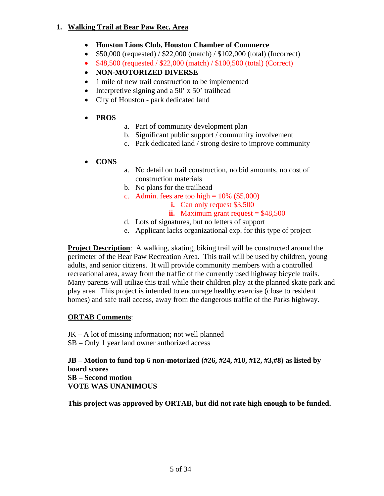#### **1. Walking Trail at Bear Paw Rec. Area**

- **Houston Lions Club, Houston Chamber of Commerce**
- \$50,000 (requested) / \$22,000 (match) / \$102,000 (total) (Incorrect)
- \$48,500 (requested / \$22,000 (match) / \$100,500 (total) (Correct)

### • **NON-MOTORIZED DIVERSE**

- 1 mile of new trail construction to be implemented
- Interpretive signing and a 50' x 50' trailhead
- City of Houston park dedicated land

### • **PROS**

- a. Part of community development plan
- b. Significant public support / community involvement
- c. Park dedicated land / strong desire to improve community

### • **CONS**

- a. No detail on trail construction, no bid amounts, no cost of construction materials
- b. No plans for the trailhead
- c. Admin. fees are too high =  $10\%$  (\$5,000)
	- **i.** Can only request \$3,500
		- **ii.** Maximum grant request  $=$  \$48,500
- d. Lots of signatures, but no letters of support
- e. Applicant lacks organizational exp. for this type of project

**Project Description:** A walking, skating, biking trail will be constructed around the perimeter of the Bear Paw Recreation Area. This trail will be used by children, young adults, and senior citizens. It will provide community members with a controlled recreational area, away from the traffic of the currently used highway bicycle trails. Many parents will utilize this trail while their children play at the planned skate park and play area. This project is intended to encourage healthy exercise (close to resident homes) and safe trail access, away from the dangerous traffic of the Parks highway.

### **ORTAB Comments**:

JK – A lot of missing information; not well planned

SB – Only 1 year land owner authorized access

**JB – Motion to fund top 6 non-motorized (#26, #24, #10, #12, #3,#8) as listed by board scores SB – Second motion VOTE WAS UNANIMOUS** 

**This project was approved by ORTAB, but did not rate high enough to be funded.**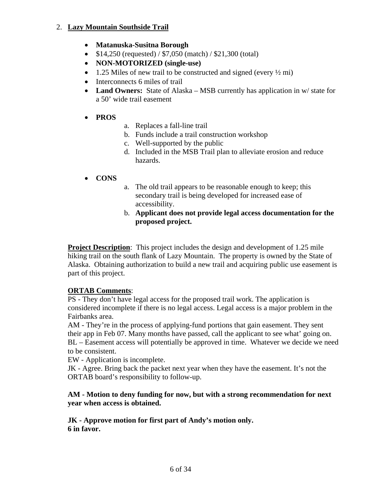### 2. **Lazy Mountain Southside Trail**

- **Matanuska-Susitna Borough**
- $$14,250$  (requested) /  $$7,050$  (match) /  $$21,300$  (total)
- **NON-MOTORIZED (single-use)**
- 1.25 Miles of new trail to be constructed and signed (every  $\frac{1}{2}$  mi)
- Interconnects 6 miles of trail
- Land Owners: State of Alaska MSB currently has application in w/ state for a 50' wide trail easement

### • **PROS**

- a. Replaces a fall-line trail
- b. Funds include a trail construction workshop
- c. Well-supported by the public
- d. Included in the MSB Trail plan to alleviate erosion and reduce hazards.

#### • **CONS**

- a. The old trail appears to be reasonable enough to keep; this secondary trail is being developed for increased ease of accessibility.
- b. **Applicant does not provide legal access documentation for the proposed project.**

**Project Description**: This project includes the design and development of 1.25 mile hiking trail on the south flank of Lazy Mountain. The property is owned by the State of Alaska. Obtaining authorization to build a new trail and acquiring public use easement is part of this project.

#### **ORTAB Comments**:

PS - They don't have legal access for the proposed trail work. The application is considered incomplete if there is no legal access. Legal access is a major problem in the Fairbanks area.

AM - They're in the process of applying-fund portions that gain easement. They sent their app in Feb 07. Many months have passed, call the applicant to see what' going on. BL – Easement access will potentially be approved in time. Whatever we decide we need to be consistent.

EW - Application is incomplete.

JK - Agree. Bring back the packet next year when they have the easement. It's not the ORTAB board's responsibility to follow-up.

#### **AM - Motion to deny funding for now, but with a strong recommendation for next year when access is obtained.**

#### **JK - Approve motion for first part of Andy's motion only. 6 in favor.**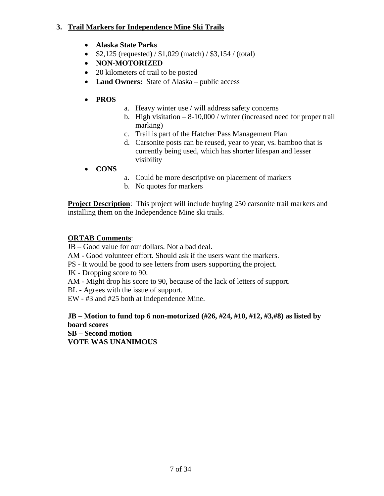### **3. Trail Markers for Independence Mine Ski Trails**

- **Alaska State Parks**
- $$2,125$  (requested) /  $$1,029$  (match) /  $$3,154$  / (total)
- **NON-MOTORIZED**
- 20 kilometers of trail to be posted
- **Land Owners:** State of Alaska public access

### • **PROS**

- a. Heavy winter use / will address safety concerns
- b. High visitation 8-10,000 / winter (increased need for proper trail marking)
- c. Trail is part of the Hatcher Pass Management Plan
- d. Carsonite posts can be reused, year to year, vs. bamboo that is currently being used, which has shorter lifespan and lesser visibility

#### • **CONS**

- a. Could be more descriptive on placement of markers
- b. No quotes for markers

**Project Description**: This project will include buying 250 carsonite trail markers and installing them on the Independence Mine ski trails.

#### **ORTAB Comments**:

JB – Good value for our dollars. Not a bad deal.

- AM Good volunteer effort. Should ask if the users want the markers.
- PS It would be good to see letters from users supporting the project.
- JK Dropping score to 90.
- AM Might drop his score to 90, because of the lack of letters of support.
- BL Agrees with the issue of support.
- EW #3 and #25 both at Independence Mine.

#### **JB – Motion to fund top 6 non-motorized (#26, #24, #10, #12, #3,#8) as listed by board scores**

**SB – Second motion VOTE WAS UNANIMOUS**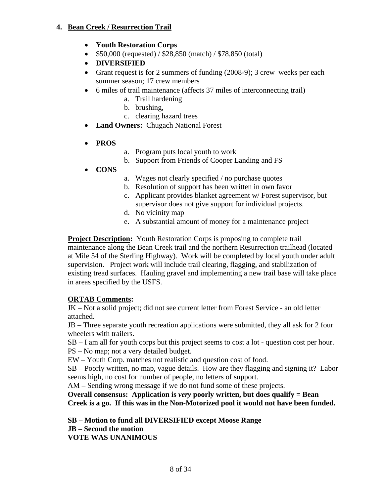### **4. Bean Creek / Resurrection Trail**

- **Youth Restoration Corps**
- \$50,000 (requested) / \$28,850 (match) / \$78,850 (total)
- **DIVERSIFIED**
- Grant request is for 2 summers of funding (2008-9); 3 crew weeks per each summer season; 17 crew members
- 6 miles of trail maintenance (affects 37 miles of interconnecting trail)
	- a. Trail hardening
	- b. brushing,
	- c. clearing hazard trees
- **Land Owners:** Chugach National Forest
- **PROS**
- a. Program puts local youth to work
- b. Support from Friends of Cooper Landing and FS
- **CONS**
- a. Wages not clearly specified / no purchase quotes
- b. Resolution of support has been written in own favor
- c. Applicant provides blanket agreement w/ Forest supervisor, but supervisor does not give support for individual projects.
- d. No vicinity map
- e. A substantial amount of money for a maintenance project

**Project Description:** Youth Restoration Corps is proposing to complete trail maintenance along the Bean Creek trail and the northern Resurrection trailhead (located at Mile 54 of the Sterling Highway). Work will be completed by local youth under adult supervision. Project work will include trail clearing, flagging, and stabilization of existing tread surfaces. Hauling gravel and implementing a new trail base will take place in areas specified by the USFS.

### **ORTAB Comments:**

JK – Not a solid project; did not see current letter from Forest Service - an old letter attached.

JB – Three separate youth recreation applications were submitted, they all ask for 2 four wheelers with trailers.

SB – I am all for youth corps but this project seems to cost a lot - question cost per hour. PS – No map; not a very detailed budget.

EW – Youth Corp. matches not realistic and question cost of food.

SB – Poorly written, no map, vague details. How are they flagging and signing it? Labor seems high, no cost for number of people, no letters of support.

AM – Sending wrong message if we do not fund some of these projects.

**Overall consensus: Application is** *very* **poorly written, but does qualify = Bean Creek is a go. If this was in the Non-Motorized pool it would not have been funded.** 

**SB – Motion to fund all DIVERSIFIED except Moose Range** 

**JB – Second the motion** 

**VOTE WAS UNANIMOUS**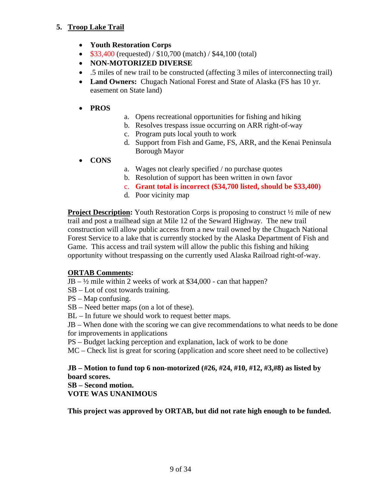### **5. Troop Lake Trail**

- **Youth Restoration Corps**
- $$33,400$  (requested) /  $$10,700$  (match) /  $$44,100$  (total)
- **NON-MOTORIZED DIVERSE**
- .5 miles of new trail to be constructed (affecting 3 miles of interconnecting trail)
- Land Owners: Chugach National Forest and State of Alaska (FS has 10 yr. easement on State land)

#### • **PROS**

- a. Opens recreational opportunities for fishing and hiking
- b. Resolves trespass issue occurring on ARR right-of-way
- c. Program puts local youth to work
- d. Support from Fish and Game, FS, ARR, and the Kenai Peninsula Borough Mayor

#### • **CONS**

- a. Wages not clearly specified / no purchase quotes
- b. Resolution of support has been written in own favor
- c. **Grant total is incorrect (\$34,700 listed, should be \$33,400)**
- d. Poor vicinity map

**Project Description:** Youth Restoration Corps is proposing to construct <sup>1</sup>/<sub>2</sub> mile of new trail and post a trailhead sign at Mile 12 of the Seward Highway. The new trail construction will allow public access from a new trail owned by the Chugach National Forest Service to a lake that is currently stocked by the Alaska Department of Fish and Game. This access and trail system will allow the public this fishing and hiking opportunity without trespassing on the currently used Alaska Railroad right-of-way.

#### **ORTAB Comments:**

 $JB - \frac{1}{2}$  mile within 2 weeks of work at \$34,000 - can that happen?

- SB Lot of cost towards training.
- PS Map confusing.
- SB Need better maps (on a lot of these).
- BL In future we should work to request better maps.

JB – When done with the scoring we can give recommendations to what needs to be done for improvements in applications

PS – Budget lacking perception and explanation, lack of work to be done

MC – Check list is great for scoring (application and score sheet need to be collective)

#### **JB – Motion to fund top 6 non-motorized (#26, #24, #10, #12, #3,#8) as listed by board scores.**

**SB – Second motion. VOTE WAS UNANIMOUS** 

**This project was approved by ORTAB, but did not rate high enough to be funded.**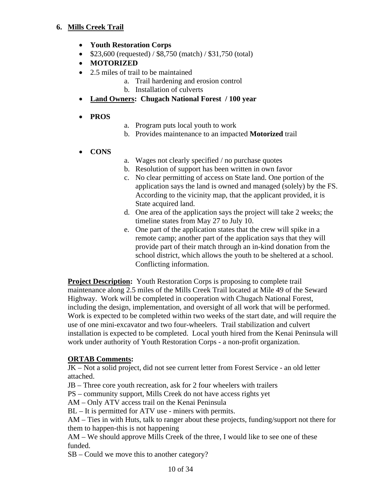- **Youth Restoration Corps**
- $$23,600$  (requested) /  $$8,750$  (match) /  $$31,750$  (total)
- **MOTORIZED**
- 2.5 miles of trail to be maintained
	- a. Trail hardening and erosion control
	- b. Installation of culverts
- **Land Owners: Chugach National Forest / 100 year**
- **PROS**
- a. Program puts local youth to work
- b. Provides maintenance to an impacted **Motorized** trail
- **CONS**
- a. Wages not clearly specified / no purchase quotes
- b. Resolution of support has been written in own favor
- c. No clear permitting of access on State land. One portion of the application says the land is owned and managed (solely) by the FS. According to the vicinity map, that the applicant provided, it is State acquired land.
- d. One area of the application says the project will take 2 weeks; the timeline states from May 27 to July 10.
- e. One part of the application states that the crew will spike in a remote camp; another part of the application says that they will provide part of their match through an in-kind donation from the school district, which allows the youth to be sheltered at a school. Conflicting information.

**Project Description:** Youth Restoration Corps is proposing to complete trail maintenance along 2.5 miles of the Mills Creek Trail located at Mile 49 of the Seward Highway. Work will be completed in cooperation with Chugach National Forest, including the design, implementation, and oversight of all work that will be performed. Work is expected to be completed within two weeks of the start date, and will require the use of one mini-excavator and two four-wheelers. Trail stabilization and culvert installation is expected to be completed. Local youth hired from the Kenai Peninsula will work under authority of Youth Restoration Corps - a non-profit organization.

#### **ORTAB Comments:**

JK – Not a solid project, did not see current letter from Forest Service - an old letter attached.

JB – Three core youth recreation, ask for 2 four wheelers with trailers

PS – community support, Mills Creek do not have access rights yet

AM – Only ATV access trail on the Kenai Peninsula

BL – It is permitted for ATV use - miners with permits.

AM – Ties in with Huts, talk to ranger about these projects, funding/support not there for them to happen-this is not happening

AM – We should approve Mills Creek of the three, I would like to see one of these funded.

SB – Could we move this to another category?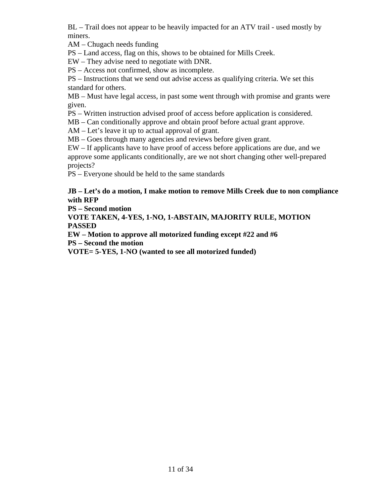BL – Trail does not appear to be heavily impacted for an ATV trail - used mostly by miners.

AM – Chugach needs funding

PS – Land access, flag on this, shows to be obtained for Mills Creek.

EW – They advise need to negotiate with DNR.

PS – Access not confirmed, show as incomplete.

PS – Instructions that we send out advise access as qualifying criteria. We set this standard for others.

MB – Must have legal access, in past some went through with promise and grants were given.

PS – Written instruction advised proof of access before application is considered.

MB – Can conditionally approve and obtain proof before actual grant approve.

AM – Let's leave it up to actual approval of grant.

MB – Goes through many agencies and reviews before given grant.

EW – If applicants have to have proof of access before applications are due, and we approve some applicants conditionally, are we not short changing other well-prepared projects?

PS – Everyone should be held to the same standards

### **JB – Let's do a motion, I make motion to remove Mills Creek due to non compliance with RFP**

**PS – Second motion** 

**VOTE TAKEN, 4-YES, 1-NO, 1-ABSTAIN, MAJORITY RULE, MOTION PASSED** 

**EW – Motion to approve all motorized funding except #22 and #6** 

**PS – Second the motion** 

**VOTE= 5-YES, 1-NO (wanted to see all motorized funded)**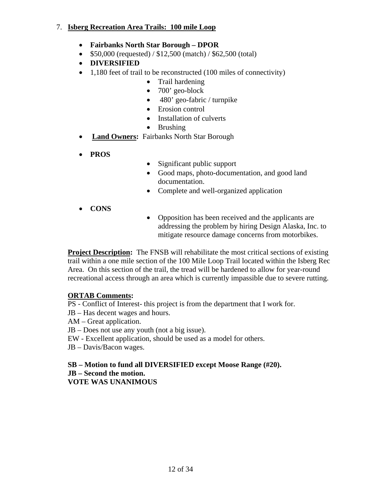### 7. **Isberg Recreation Area Trails: 100 mile Loop**

- **Fairbanks North Star Borough DPOR**
- $$50,000$  (requested) /  $$12,500$  (match) /  $$62,500$  (total)
- **DIVERSIFIED**
- 1,180 feet of trail to be reconstructed (100 miles of connectivity)
	- Trail hardening
	- 700' geo-block
	- 480' geo-fabric / turnpike
	- Erosion control
	- Installation of culverts
	- Brushing
- **Land Owners:** Fairbanks North Star Borough
- **PROS**
- Significant public support
- Good maps, photo-documentation, and good land documentation.
- Complete and well-organized application
- **CONS**
- Opposition has been received and the applicants are addressing the problem by hiring Design Alaska, Inc. to mitigate resource damage concerns from motorbikes.

**Project Description:** The FNSB will rehabilitate the most critical sections of existing trail within a one mile section of the 100 Mile Loop Trail located within the Isberg Rec Area. On this section of the trail, the tread will be hardened to allow for year-round recreational access through an area which is currently impassible due to severe rutting.

#### **ORTAB Comments:**

PS - Conflict of Interest- this project is from the department that I work for.

- JB Has decent wages and hours.
- AM Great application.
- JB Does not use any youth (not a big issue).
- EW Excellent application, should be used as a model for others.
- JB Davis/Bacon wages.

#### **SB – Motion to fund all DIVERSIFIED except Moose Range (#20).**

#### **JB – Second the motion.**

**VOTE WAS UNANIMOUS**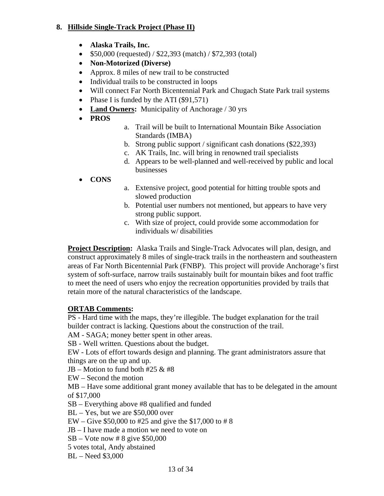### **8. Hillside Single-Track Project (Phase II)**

- **Alaska Trails, Inc.**
- \$50,000 (requested) / \$22,393 (match) / \$72,393 (total)
- **Non-Motorized (Diverse)**
- Approx. 8 miles of new trail to be constructed
- Individual trails to be constructed in loops
- Will connect Far North Bicentennial Park and Chugach State Park trail systems
- Phase I is funded by the ATI (\$91,571)
- Land Owners: Municipality of Anchorage / 30 yrs
- **PROS**
- a. Trail will be built to International Mountain Bike Association Standards (IMBA)
- b. Strong public support / significant cash donations (\$22,393)
- c. AK Trails, Inc. will bring in renowned trail specialists
- d. Appears to be well-planned and well-received by public and local businesses
- **CONS**
- a. Extensive project, good potential for hitting trouble spots and slowed production
- b. Potential user numbers not mentioned, but appears to have very strong public support.
- c. With size of project, could provide some accommodation for individuals w/ disabilities

**Project Description:** Alaska Trails and Single-Track Advocates will plan, design, and construct approximately 8 miles of single-track trails in the northeastern and southeastern areas of Far North Bicentennial Park (FNBP). This project will provide Anchorage's first system of soft-surface, narrow trails sustainably built for mountain bikes and foot traffic to meet the need of users who enjoy the recreation opportunities provided by trails that retain more of the natural characteristics of the landscape.

### **ORTAB Comments:**

PS - Hard time with the maps, they're illegible. The budget explanation for the trail builder contract is lacking. Questions about the construction of the trail.

AM - SAGA; money better spent in other areas.

SB - Well written. Questions about the budget.

EW - Lots of effort towards design and planning. The grant administrators assure that things are on the up and up.

 $JB - Motion to fund both #25 & #8$ 

EW – Second the motion

MB – Have some additional grant money available that has to be delegated in the amount of \$17,000

SB – Everything above #8 qualified and funded

BL – Yes, but we are \$50,000 over

EW – Give \$50,000 to #25 and give the \$17,000 to # 8

JB – I have made a motion we need to vote on

SB – Vote now # 8 give \$50,000

5 votes total, Andy abstained

BL – Need \$3,000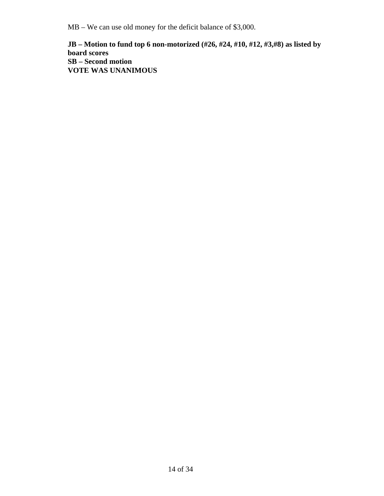MB – We can use old money for the deficit balance of \$3,000.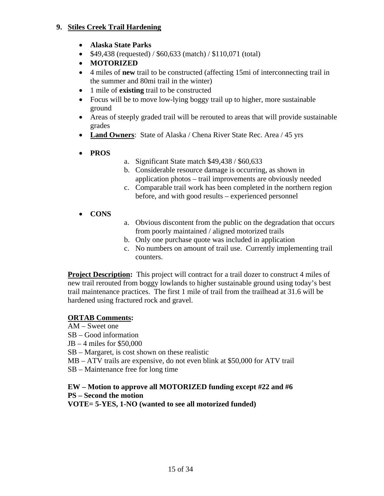### **9. Stiles Creek Trail Hardening**

- **Alaska State Parks**
- $$49,438$  (requested) /  $$60,633$  (match) /  $$110,071$  (total)
- **MOTORIZED**
- 4 miles of **new** trail to be constructed (affecting 15mi of interconnecting trail in the summer and 80mi trail in the winter)
- 1 mile of **existing** trail to be constructed
- Focus will be to move low-lying boggy trail up to higher, more sustainable ground
- Areas of steeply graded trail will be rerouted to areas that will provide sustainable grades
- **Land Owners**: State of Alaska / Chena River State Rec. Area / 45 yrs
- **PROS**
- a. Significant State match \$49,438 / \$60,633
- b. Considerable resource damage is occurring, as shown in application photos – trail improvements are obviously needed
- c. Comparable trail work has been completed in the northern region before, and with good results – experienced personnel

### • **CONS**

- a. Obvious discontent from the public on the degradation that occurs from poorly maintained / aligned motorized trails
- b. Only one purchase quote was included in application
- c. No numbers on amount of trail use. Currently implementing trail counters.

**Project Description:** This project will contract for a trail dozer to construct 4 miles of new trail rerouted from boggy lowlands to higher sustainable ground using today's best trail maintenance practices. The first 1 mile of trail from the trailhead at 31.6 will be hardened using fractured rock and gravel.

#### **ORTAB Comments:**

- AM Sweet one
- SB Good information
- JB 4 miles for \$50,000
- SB Margaret, is cost shown on these realistic
- MB ATV trails are expensive, do not even blink at \$50,000 for ATV trail
- SB Maintenance free for long time

#### **EW – Motion to approve all MOTORIZED funding except #22 and #6 PS – Second the motion**

**VOTE= 5-YES, 1-NO (wanted to see all motorized funded)**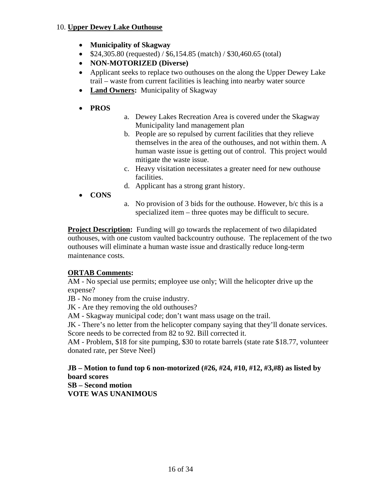#### 10. **Upper Dewey Lake Outhouse**

- **Municipality of Skagway**
- $$24,305.80$  (requested) /  $$6,154.85$  (match) /  $$30,460.65$  (total)
- **NON-MOTORIZED (Diverse)**
- Applicant seeks to replace two outhouses on the along the Upper Dewey Lake trail – waste from current facilities is leaching into nearby water source
- **Land Owners:** Municipality of Skagway
- **PROS**
- a. Dewey Lakes Recreation Area is covered under the Skagway Municipality land management plan
- b. People are so repulsed by current facilities that they relieve themselves in the area of the outhouses, and not within them. A human waste issue is getting out of control. This project would mitigate the waste issue.
- c. Heavy visitation necessitates a greater need for new outhouse facilities.
- d. Applicant has a strong grant history.
- **CONS**
- a. No provision of 3 bids for the outhouse. However, b/c this is a specialized item – three quotes may be difficult to secure.

**Project Description:** Funding will go towards the replacement of two dilapidated outhouses, with one custom vaulted backcountry outhouse. The replacement of the two outhouses will eliminate a human waste issue and drastically reduce long-term maintenance costs.

### **ORTAB Comments:**

AM - No special use permits; employee use only; Will the helicopter drive up the expense?

JB - No money from the cruise industry.

JK - Are they removing the old outhouses?

AM - Skagway municipal code; don't want mass usage on the trail.

JK - There's no letter from the helicopter company saying that they'll donate services. Score needs to be corrected from 82 to 92. Bill corrected it.

AM - Problem, \$18 for site pumping, \$30 to rotate barrels (state rate \$18.77, volunteer donated rate, per Steve Neel)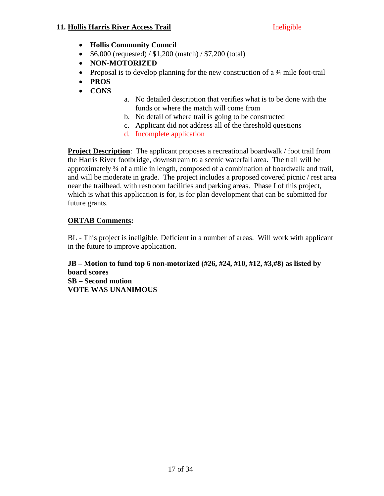- **Hollis Community Council**
- \$6,000 (requested) / \$1,200 (match) / \$7,200 (total)
- **NON-MOTORIZED**
- Proposal is to develop planning for the new construction of a 3/4 mile foot-trail
- **PROS**
- **CONS**
- a. No detailed description that verifies what is to be done with the funds or where the match will come from
- b. No detail of where trail is going to be constructed
- c. Applicant did not address all of the threshold questions
- d. Incomplete application

**Project Description**: The applicant proposes a recreational boardwalk / foot trail from the Harris River footbridge, downstream to a scenic waterfall area. The trail will be approximately ¾ of a mile in length, composed of a combination of boardwalk and trail, and will be moderate in grade. The project includes a proposed covered picnic / rest area near the trailhead, with restroom facilities and parking areas. Phase I of this project, which is what this application is for, is for plan development that can be submitted for future grants.

### **ORTAB Comments:**

BL - This project is ineligible. Deficient in a number of areas. Will work with applicant in the future to improve application.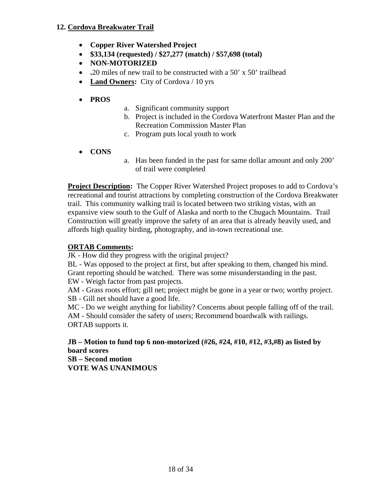### **12. Cordova Breakwater Trail**

- **Copper River Watershed Project**
- **\$33,134 (requested) / \$27,277 (match) / \$57,698 (total)**
- **NON-MOTORIZED**
- **.**20 miles of new trail to be constructed with a 50' x 50' trailhead
- **Land Owners:** City of Cordova / 10 yrs

### • **PROS**

- a. Significant community support
- b. Project is included in the Cordova Waterfront Master Plan and the Recreation Commission Master Plan
- c. Program puts local youth to work
- **CONS**
- a. Has been funded in the past for same dollar amount and only 200' of trail were completed

**Project Description:** The Copper River Watershed Project proposes to add to Cordova's recreational and tourist attractions by completing construction of the Cordova Breakwater trail. This community walking trail is located between two striking vistas, with an expansive view south to the Gulf of Alaska and north to the Chugach Mountains. Trail Construction will greatly improve the safety of an area that is already heavily used, and affords high quality birding, photography, and in-town recreational use.

### **ORTAB Comments:**

JK - How did they progress with the original project?

BL - Was opposed to the project at first, but after speaking to them, changed his mind. Grant reporting should be watched. There was some misunderstanding in the past.

EW - Weigh factor from past projects.

AM - Grass roots effort; gill net; project might be gone in a year or two; worthy project. SB - Gill net should have a good life.

MC - Do we weight anything for liability? Concerns about people falling off of the trail. AM - Should consider the safety of users; Recommend boardwalk with railings. ORTAB supports it.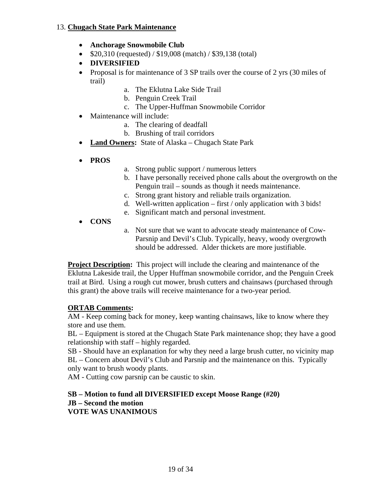### 13. **Chugach State Park Maintenance**

- **Anchorage Snowmobile Club**
- \$20,310 (requested) / \$19,008 (match) / \$39,138 (total)
- **DIVERSIFIED**
- Proposal is for maintenance of 3 SP trails over the course of 2 yrs (30 miles of trail)
	- a. The Eklutna Lake Side Trail
	- b. Penguin Creek Trail
	- c. The Upper-Huffman Snowmobile Corridor
- Maintenance will include:
	- a. The clearing of deadfall
	- b. Brushing of trail corridors
- **Land Owners:** State of Alaska Chugach State Park
- **PROS**
- a. Strong public support / numerous letters
- b. I have personally received phone calls about the overgrowth on the Penguin trail – sounds as though it needs maintenance.
- c. Strong grant history and reliable trails organization.
- d. Well-written application first / only application with 3 bids!
- e. Significant match and personal investment.
- **CONS**
- a. Not sure that we want to advocate steady maintenance of Cow-Parsnip and Devil's Club. Typically, heavy, woody overgrowth should be addressed. Alder thickets are more justifiable.

**Project Description:** This project will include the clearing and maintenance of the Eklutna Lakeside trail, the Upper Huffman snowmobile corridor, and the Penguin Creek trail at Bird. Using a rough cut mower, brush cutters and chainsaws (purchased through this grant) the above trails will receive maintenance for a two-year period.

### **ORTAB Comments:**

AM - Keep coming back for money, keep wanting chainsaws, like to know where they store and use them.

BL – Equipment is stored at the Chugach State Park maintenance shop; they have a good relationship with staff – highly regarded.

SB - Should have an explanation for why they need a large brush cutter, no vicinity map BL – Concern about Devil's Club and Parsnip and the maintenance on this. Typically only want to brush woody plants.

AM - Cutting cow parsnip can be caustic to skin.

#### **SB – Motion to fund all DIVERSIFIED except Moose Range (#20) JB – Second the motion VOTE WAS UNANIMOUS**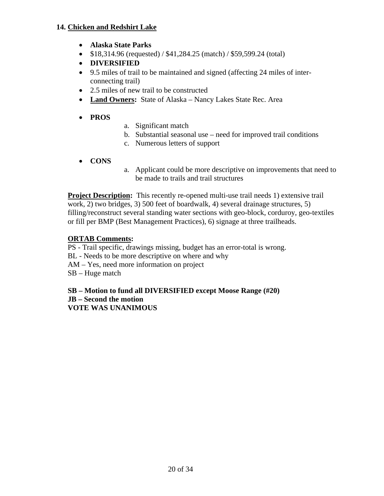### **14. Chicken and Redshirt Lake**

- **Alaska State Parks**
- $$18,314.96$  (requested) /  $$41,284.25$  (match) /  $$59,599.24$  (total)
- **DIVERSIFIED**
- 9.5 miles of trail to be maintained and signed (affecting 24 miles of interconnecting trail)
- 2.5 miles of new trail to be constructed
- **Land Owners:** State of Alaska Nancy Lakes State Rec. Area

### • **PROS**

- a. Significant match
- b. Substantial seasonal use need for improved trail conditions
- c. Numerous letters of support
- **CONS**
- a. Applicant could be more descriptive on improvements that need to be made to trails and trail structures

**Project Description:** This recently re-opened multi-use trail needs 1) extensive trail work, 2) two bridges, 3) 500 feet of boardwalk, 4) several drainage structures, 5) filling/reconstruct several standing water sections with geo-block, corduroy, geo-textiles or fill per BMP (Best Management Practices), 6) signage at three trailheads.

### **ORTAB Comments:**

- PS Trail specific, drawings missing, budget has an error-total is wrong.
- BL Needs to be more descriptive on where and why
- AM Yes, need more information on project
- SB Huge match

# **SB – Motion to fund all DIVERSIFIED except Moose Range (#20) JB – Second the motion**

**VOTE WAS UNANIMOUS**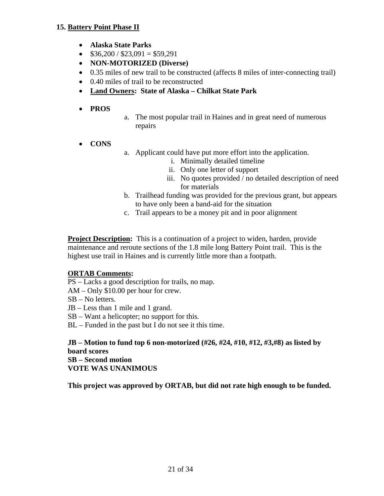- **Alaska State Parks**
- $$36,200 / $23,091 = $59,291$
- **NON-MOTORIZED (Diverse)**
- 0.35 miles of new trail to be constructed (affects 8 miles of inter-connecting trail)
- 0.40 miles of trail to be reconstructed
- **Land Owners: State of Alaska Chilkat State Park**
- **PROS**
- a. The most popular trail in Haines and in great need of numerous repairs
- **CONS**
- a. Applicant could have put more effort into the application.
	- i. Minimally detailed timeline
	- ii. Only one letter of support
	- iii. No quotes provided / no detailed description of need for materials
- b. Trailhead funding was provided for the previous grant, but appears to have only been a band-aid for the situation
- c. Trail appears to be a money pit and in poor alignment

**Project Description:** This is a continuation of a project to widen, harden, provide maintenance and reroute sections of the 1.8 mile long Battery Point trail. This is the highest use trail in Haines and is currently little more than a footpath.

#### **ORTAB Comments:**

PS – Lacks a good description for trails, no map.

AM – Only \$10.00 per hour for crew.

- SB No letters.
- JB Less than 1 mile and 1 grand.
- SB Want a helicopter; no support for this.
- BL Funded in the past but I do not see it this time.

**JB – Motion to fund top 6 non-motorized (#26, #24, #10, #12, #3,#8) as listed by board scores SB – Second motion VOTE WAS UNANIMOUS** 

**This project was approved by ORTAB, but did not rate high enough to be funded.**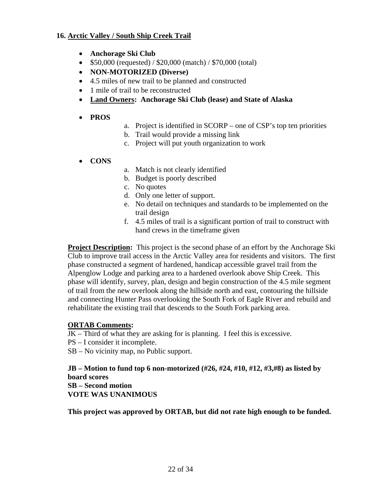### **16. Arctic Valley / South Ship Creek Trail**

- **Anchorage Ski Club**
- \$50,000 (requested) / \$20,000 (match) / \$70,000 (total)
- **NON-MOTORIZED (Diverse)**
- 4.5 miles of new trail to be planned and constructed
- 1 mile of trail to be reconstructed
- **Land Owners: Anchorage Ski Club (lease) and State of Alaska**

### • **PROS**

- a. Project is identified in SCORP one of CSP's top ten priorities
- b. Trail would provide a missing link
- c. Project will put youth organization to work

### • **CONS**

- a. Match is not clearly identified
- b. Budget is poorly described
- c. No quotes
- d. Only one letter of support.
- e. No detail on techniques and standards to be implemented on the trail design
- f. 4.5 miles of trail is a significant portion of trail to construct with hand crews in the timeframe given

**Project Description:** This project is the second phase of an effort by the Anchorage Ski Club to improve trail access in the Arctic Valley area for residents and visitors. The first phase constructed a segment of hardened, handicap accessible gravel trail from the Alpenglow Lodge and parking area to a hardened overlook above Ship Creek. This phase will identify, survey, plan, design and begin construction of the 4.5 mile segment of trail from the new overlook along the hillside north and east, contouring the hillside and connecting Hunter Pass overlooking the South Fork of Eagle River and rebuild and rehabilitate the existing trail that descends to the South Fork parking area.

### **ORTAB Comments:**

- JK Third of what they are asking for is planning. I feel this is excessive.
- PS I consider it incomplete.
- SB No vicinity map, no Public support.

**JB – Motion to fund top 6 non-motorized (#26, #24, #10, #12, #3,#8) as listed by board scores SB – Second motion VOTE WAS UNANIMOUS** 

**This project was approved by ORTAB, but did not rate high enough to be funded.**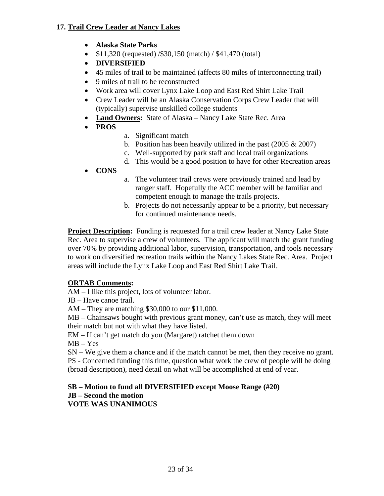- **Alaska State Parks**
- \$11,320 (requested) / \$30,150 (match) / \$41,470 (total)
- **DIVERSIFIED**
- 45 miles of trail to be maintained (affects 80 miles of interconnecting trail)
- 9 miles of trail to be reconstructed
- Work area will cover Lynx Lake Loop and East Red Shirt Lake Trail
- Crew Leader will be an Alaska Conservation Corps Crew Leader that will (typically) supervise unskilled college students
- **Land Owners:** State of Alaska Nancy Lake State Rec. Area
- **PROS**
- a. Significant match
- b. Position has been heavily utilized in the past  $(2005 \& 2007)$
- c. Well-supported by park staff and local trail organizations
- d. This would be a good position to have for other Recreation areas

### • **CONS**

- a. The volunteer trail crews were previously trained and lead by ranger staff. Hopefully the ACC member will be familiar and competent enough to manage the trails projects.
- b. Projects do not necessarily appear to be a priority, but necessary for continued maintenance needs.

**Project Description:** Funding is requested for a trail crew leader at Nancy Lake State Rec. Area to supervise a crew of volunteers. The applicant will match the grant funding over 70% by providing additional labor, supervision, transportation, and tools necessary to work on diversified recreation trails within the Nancy Lakes State Rec. Area. Project areas will include the Lynx Lake Loop and East Red Shirt Lake Trail.

### **ORTAB Comments:**

AM – I like this project, lots of volunteer labor.

JB – Have canoe trail.

AM – They are matching \$30,000 to our \$11,000.

MB – Chainsaws bought with previous grant money, can't use as match, they will meet their match but not with what they have listed.

EM – If can't get match do you (Margaret) ratchet them down

MB – Yes

SN – We give them a chance and if the match cannot be met, then they receive no grant. PS - Concerned funding this time, question what work the crew of people will be doing

(broad description), need detail on what will be accomplished at end of year.

### **SB – Motion to fund all DIVERSIFIED except Moose Range (#20)**

### **JB – Second the motion**

### **VOTE WAS UNANIMOUS**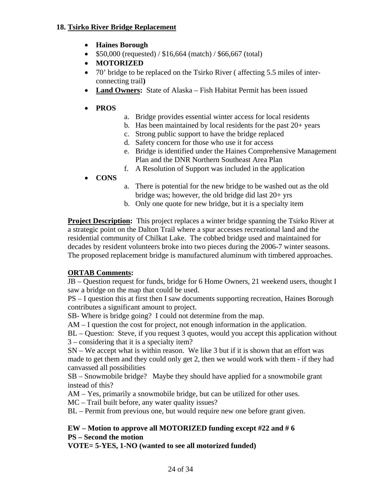- **Haines Borough**
- $$50,000$  (requested) /  $$16,664$  (match) /  $$66,667$  (total)
- **MOTORIZED**
- 70' bridge to be replaced on the Tsirko River (affecting 5.5 miles of interconnecting trail**)**
- **Land Owners:** State of Alaska Fish Habitat Permit has been issued

### • **PROS**

- a. Bridge provides essential winter access for local residents
- b. Has been maintained by local residents for the past 20+ years
- c. Strong public support to have the bridge replaced
- d. Safety concern for those who use it for access
- e. Bridge is identified under the Haines Comprehensive Management Plan and the DNR Northern Southeast Area Plan
- f. A Resolution of Support was included in the application
- **CONS**
- a. There is potential for the new bridge to be washed out as the old bridge was; however, the old bridge did last 20+ yrs
- b. Only one quote for new bridge, but it is a specialty item

**Project Description:** This project replaces a winter bridge spanning the Tsirko River at a strategic point on the Dalton Trail where a spur accesses recreational land and the residential community of Chilkat Lake. The cobbed bridge used and maintained for decades by resident volunteers broke into two pieces during the 2006-7 winter seasons. The proposed replacement bridge is manufactured aluminum with timbered approaches.

### **ORTAB Comments:**

JB – Question request for funds, bridge for 6 Home Owners, 21 weekend users, thought I saw a bridge on the map that could be used.

PS – I question this at first then I saw documents supporting recreation, Haines Borough contributes a significant amount to project.

SB- Where is bridge going? I could not determine from the map.

AM – I question the cost for project, not enough information in the application.

BL – Question: Steve, if you request 3 quotes, would you accept this application without 3 – considering that it is a specialty item?

SN – We accept what is within reason. We like 3 but if it is shown that an effort was made to get them and they could only get 2, then we would work with them - if they had canvassed all possibilities

SB – Snowmobile bridge? Maybe they should have applied for a snowmobile grant instead of this?

AM – Yes, primarily a snowmobile bridge, but can be utilized for other uses.

MC – Trail built before, any water quality issues?

BL – Permit from previous one, but would require new one before grant given.

#### **EW – Motion to approve all MOTORIZED funding except #22 and # 6 PS – Second the motion**

**VOTE= 5-YES, 1-NO (wanted to see all motorized funded)**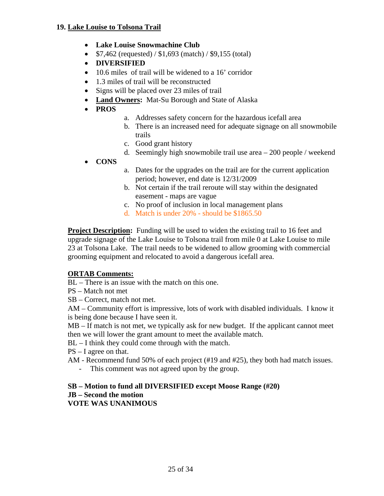- **Lake Louise Snowmachine Club**
- $$7,462$  (requested) /  $$1,693$  (match) /  $$9,155$  (total)
- **DIVERSIFIED**
- 10.6 miles of trail will be widened to a 16' corridor
- 1.3 miles of trail will be reconstructed
- Signs will be placed over 23 miles of trail
- **Land Owners:** Mat-Su Borough and State of Alaska
- **PROS**
- a. Addresses safety concern for the hazardous icefall area
- b. There is an increased need for adequate signage on all snowmobile trails
- c. Good grant history
- d. Seemingly high snowmobile trail use area 200 people / weekend

#### • **CONS**

- a. Dates for the upgrades on the trail are for the current application period; however, end date is 12/31/2009
- b. Not certain if the trail reroute will stay within the designated easement - maps are vague
- c. No proof of inclusion in local management plans
- d. Match is under 20% should be \$1865.50

**Project Description:** Funding will be used to widen the existing trail to 16 feet and upgrade signage of the Lake Louise to Tolsona trail from mile 0 at Lake Louise to mile 23 at Tolsona Lake. The trail needs to be widened to allow grooming with commercial grooming equipment and relocated to avoid a dangerous icefall area.

#### **ORTAB Comments:**

BL – There is an issue with the match on this one.

- PS Match not met
- SB Correct, match not met.

AM – Community effort is impressive, lots of work with disabled individuals. I know it is being done because I have seen it.

MB – If match is not met, we typically ask for new budget. If the applicant cannot meet then we will lower the grant amount to meet the available match.

- BL I think they could come through with the match.
- PS I agree on that.
- AM Recommend fund 50% of each project (#19 and #25), they both had match issues.
	- This comment was not agreed upon by the group.

#### **SB – Motion to fund all DIVERSIFIED except Moose Range (#20)**

#### **JB – Second the motion**

#### **VOTE WAS UNANIMOUS**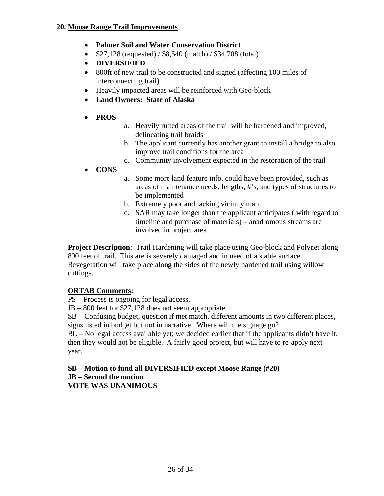- **Palmer Soil and Water Conservation District**
- $$27,128$  (requested) /  $$8,540$  (match) /  $$34,708$  (total)
- **DIVERSIFIED**
- 800ft of new trail to be constructed and signed (affecting 100 miles of interconnecting trail)
- Heavily impacted areas will be reinforced with Geo-block
- **Land Owners: State of Alaska**

### • **PROS**

- a. Heavily rutted areas of the trail will be hardened and improved, delineating trail braids
- b. The applicant currently has another grant to install a bridge to also improve trail conditions for the area
- c. Community involvement expected in the restoration of the trail
- **CONS**
- a. Some more land feature info. could have been provided, such as areas of maintenance needs, lengths, #'s, and types of structures to be implemented
- b. Extremely poor and lacking vicinity map
- c. SAR may take longer than the applicant anticipates ( with regard to timeline and purchase of materials) – anadromous streams are involved in project area

**Project Description**: Trail Hardening will take place using Geo-block and Polynet along 800 feet of trail. This are is severely damaged and in need of a stable surface. Revegetation will take place along the sides of the newly hardened trail using willow cuttings.

### **ORTAB Comments:**

PS – Process is ongoing for legal access.

JB – 800 feet for \$27,128 does not seem appropriate.

SB – Confusing budget, question if met match, different amounts in two different places, signs listed in budget but not in narrative. Where will the signage go?

BL – No legal access available yet; we decided earlier that if the applicants didn't have it, then they would not be eligible. A fairly good project, but will have to re-apply next year.

#### **SB – Motion to fund all DIVERSIFIED except Moose Range (#20) JB – Second the motion VOTE WAS UNANIMOUS**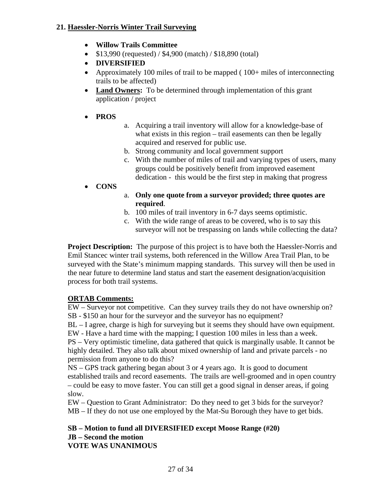### **21. Haessler-Norris Winter Trail Surveying**

- **Willow Trails Committee**
- \$13,990 (requested) / \$4,900 (match) / \$18,890 (total)
- **DIVERSIFIED**
- Approximately 100 miles of trail to be mapped (100+ miles of interconnecting trails to be affected)
- **Land Owners:** To be determined through implementation of this grant application / project
- **PROS**
- a. Acquiring a trail inventory will allow for a knowledge-base of what exists in this region – trail easements can then be legally acquired and reserved for public use.
- b. Strong community and local government support
- c. With the number of miles of trail and varying types of users, many groups could be positively benefit from improved easement dedication - this would be the first step in making that progress
- **CONS**
- a. **Only one quote from a surveyor provided; three quotes are required**.
- b. 100 miles of trail inventory in 6-7 days seems optimistic.
- c. With the wide range of areas to be covered, who is to say this surveyor will not be trespassing on lands while collecting the data?

**Project Description:** The purpose of this project is to have both the Haessler-Norris and Emil Stancec winter trail systems, both referenced in the Willow Area Trail Plan, to be surveyed with the State's minimum mapping standards. This survey will then be used in the near future to determine land status and start the easement designation/acquisition process for both trail systems.

### **ORTAB Comments:**

EW – Surveyor not competitive. Can they survey trails they do not have ownership on? SB - \$150 an hour for the surveyor and the surveyor has no equipment?

BL – I agree, charge is high for surveying but it seems they should have own equipment.

EW - Have a hard time with the mapping; I question 100 miles in less than a week. PS – Very optimistic timeline, data gathered that quick is marginally usable. It cannot be highly detailed. They also talk about mixed ownership of land and private parcels - no permission from anyone to do this?

NS – GPS track gathering began about 3 or 4 years ago. It is good to document established trails and record easements. The trails are well-groomed and in open country – could be easy to move faster. You can still get a good signal in denser areas, if going slow.

EW – Question to Grant Administrator: Do they need to get 3 bids for the surveyor? MB – If they do not use one employed by the Mat-Su Borough they have to get bids.

**SB – Motion to fund all DIVERSIFIED except Moose Range (#20) JB – Second the motion VOTE WAS UNANIMOUS**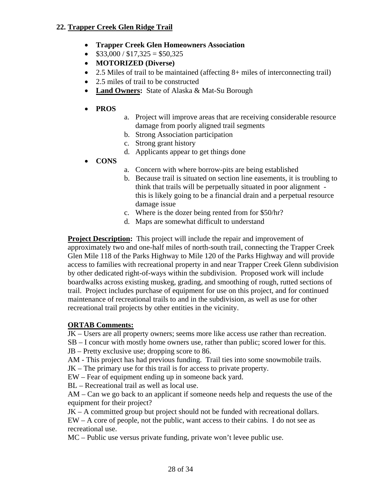- **Trapper Creek Glen Homeowners Association**
- $$33,000 / $17,325 = $50,325$
- **MOTORIZED (Diverse)**
- 2.5 Miles of trail to be maintained (affecting 8+ miles of interconnecting trail)
- 2.5 miles of trail to be constructed
- **Land Owners:** State of Alaska & Mat-Su Borough

# • **PROS**

- a. Project will improve areas that are receiving considerable resource damage from poorly aligned trail segments
- b. Strong Association participation
- c. Strong grant history
- d. Applicants appear to get things done

# • **CONS**

- a. Concern with where borrow-pits are being established
- b. Because trail is situated on section line easements, it is troubling to think that trails will be perpetually situated in poor alignment this is likely going to be a financial drain and a perpetual resource damage issue
- c. Where is the dozer being rented from for \$50/hr?
- d. Maps are somewhat difficult to understand

**Project Description:** This project will include the repair and improvement of approximately two and one-half miles of north-south trail, connecting the Trapper Creek Glen Mile 118 of the Parks Highway to Mile 120 of the Parks Highway and will provide access to families with recreational property in and near Trapper Creek Glenn subdivision by other dedicated right-of-ways within the subdivision. Proposed work will include boardwalks across existing muskeg, grading, and smoothing of rough, rutted sections of trail. Project includes purchase of equipment for use on this project, and for continued maintenance of recreational trails to and in the subdivision, as well as use for other recreational trail projects by other entities in the vicinity.

# **ORTAB Comments:**

JK – Users are all property owners; seems more like access use rather than recreation.

SB – I concur with mostly home owners use, rather than public; scored lower for this.

JB – Pretty exclusive use; dropping score to 86.

AM - This project has had previous funding. Trail ties into some snowmobile trails.

JK – The primary use for this trail is for access to private property.

EW – Fear of equipment ending up in someone back yard.

BL – Recreational trail as well as local use.

AM – Can we go back to an applicant if someone needs help and requests the use of the equipment for their project?

JK – A committed group but project should not be funded with recreational dollars.

EW – A core of people, not the public, want access to their cabins. I do not see as recreational use.

MC – Public use versus private funding, private won't levee public use.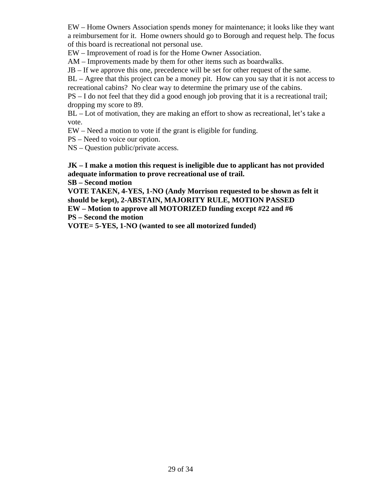EW – Home Owners Association spends money for maintenance; it looks like they want a reimbursement for it. Home owners should go to Borough and request help. The focus of this board is recreational not personal use.

EW – Improvement of road is for the Home Owner Association.

AM – Improvements made by them for other items such as boardwalks.

JB – If we approve this one, precedence will be set for other request of the same.

BL – Agree that this project can be a money pit. How can you say that it is not access to recreational cabins? No clear way to determine the primary use of the cabins.

PS – I do not feel that they did a good enough job proving that it is a recreational trail; dropping my score to 89.

BL – Lot of motivation, they are making an effort to show as recreational, let's take a vote.

EW – Need a motion to vote if the grant is eligible for funding.

PS – Need to voice our option.

NS – Question public/private access.

**JK – I make a motion this request is ineligible due to applicant has not provided adequate information to prove recreational use of trail.** 

**SB – Second motion** 

**VOTE TAKEN, 4-YES, 1-NO (Andy Morrison requested to be shown as felt it should be kept), 2-ABSTAIN, MAJORITY RULE, MOTION PASSED EW – Motion to approve all MOTORIZED funding except #22 and #6 PS – Second the motion** 

**VOTE= 5-YES, 1-NO (wanted to see all motorized funded)**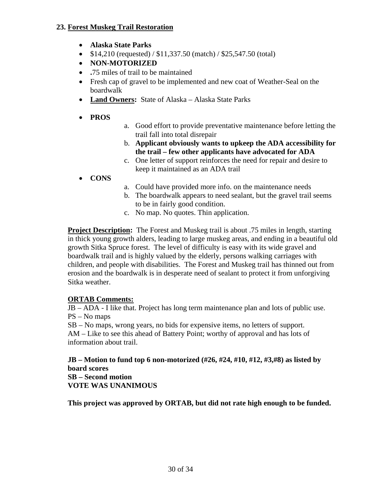#### **23. Forest Muskeg Trail Restoration**

- **Alaska State Parks**
- $$14,210$  (requested) /  $$11,337.50$  (match) /  $$25,547.50$  (total)
- **NON-MOTORIZED**
- **.**75 miles of trail to be maintained
- Fresh cap of gravel to be implemented and new coat of Weather-Seal on the boardwalk
- **Land Owners:** State of Alaska Alaska State Parks
- **PROS**
- a. Good effort to provide preventative maintenance before letting the trail fall into total disrepair
- b. **Applicant obviously wants to upkeep the ADA accessibility for the trail – few other applicants have advocated for ADA**
- c. One letter of support reinforces the need for repair and desire to keep it maintained as an ADA trail
- **CONS**
- a. Could have provided more info. on the maintenance needs
- b. The boardwalk appears to need sealant, but the gravel trail seems to be in fairly good condition.
- c. No map. No quotes. Thin application.

**Project Description:** The Forest and Muskeg trail is about .75 miles in length, starting in thick young growth alders, leading to large muskeg areas, and ending in a beautiful old growth Sitka Spruce forest. The level of difficulty is easy with its wide gravel and boardwalk trail and is highly valued by the elderly, persons walking carriages with children, and people with disabilities. The Forest and Muskeg trail has thinned out from erosion and the boardwalk is in desperate need of sealant to protect it from unforgiving Sitka weather.

### **ORTAB Comments:**

JB – ADA - I like that. Project has long term maintenance plan and lots of public use. PS – No maps

SB – No maps, wrong years, no bids for expensive items, no letters of support. AM – Like to see this ahead of Battery Point; worthy of approval and has lots of information about trail.

**JB – Motion to fund top 6 non-motorized (#26, #24, #10, #12, #3,#8) as listed by board scores SB – Second motion VOTE WAS UNANIMOUS** 

**This project was approved by ORTAB, but did not rate high enough to be funded.**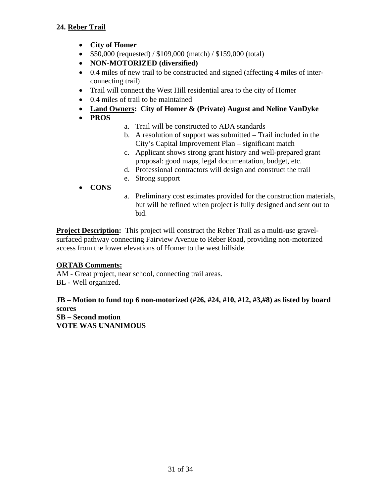- **City of Homer**
- $$50,000$  (requested) / \$109,000 (match) / \$159,000 (total)
- **NON-MOTORIZED (diversified)**
- 0.4 miles of new trail to be constructed and signed (affecting 4 miles of interconnecting trail)
- Trail will connect the West Hill residential area to the city of Homer
- 0.4 miles of trail to be maintained
- **Land Owners: City of Homer & (Private) August and Neline VanDyke**
- **PROS**
- a. Trail will be constructed to ADA standards
- b. A resolution of support was submitted Trail included in the City's Capital Improvement Plan – significant match
- c. Applicant shows strong grant history and well-prepared grant proposal: good maps, legal documentation, budget, etc.
- d. Professional contractors will design and construct the trail
- e. Strong support
- **CONS**
- a. Preliminary cost estimates provided for the construction materials, but will be refined when project is fully designed and sent out to bid.

**Project Description:** This project will construct the Reber Trail as a multi-use gravelsurfaced pathway connecting Fairview Avenue to Reber Road, providing non-motorized access from the lower elevations of Homer to the west hillside.

# **ORTAB Comments:**

AM - Great project, near school, connecting trail areas. BL - Well organized.

**JB – Motion to fund top 6 non-motorized (#26, #24, #10, #12, #3,#8) as listed by board scores SB – Second motion** 

**VOTE WAS UNANIMOUS**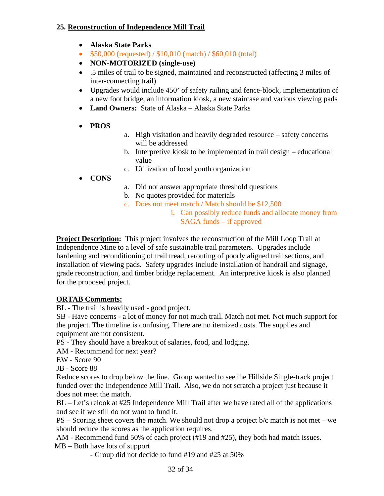### **25. Reconstruction of Independence Mill Trail**

- **Alaska State Parks**
- \$50,000 (requested) / \$10,010 (match) / \$60,010 (total)
- **NON-MOTORIZED (single-use)**
- .5 miles of trail to be signed, maintained and reconstructed (affecting 3 miles of inter-connecting trail)
- Upgrades would include 450' of safety railing and fence-block, implementation of a new foot bridge, an information kiosk, a new staircase and various viewing pads
- **Land Owners:** State of Alaska Alaska State Parks
- **PROS**
- a. High visitation and heavily degraded resource safety concerns will be addressed
- b. Interpretive kiosk to be implemented in trail design educational value
- c. Utilization of local youth organization
- **CONS**
- a. Did not answer appropriate threshold questions
- b. No quotes provided for materials
- c. Does not meet match / Match should be \$12,500
	- i. Can possibly reduce funds and allocate money from SAGA funds – if approved

**Project Description:** This project involves the reconstruction of the Mill Loop Trail at Independence Mine to a level of safe sustainable trail parameters. Upgrades include hardening and reconditioning of trail tread, rerouting of poorly aligned trail sections, and installation of viewing pads. Safety upgrades include installation of handrail and signage, grade reconstruction, and timber bridge replacement. An interpretive kiosk is also planned for the proposed project.

### **ORTAB Comments:**

BL **-** The trail is heavily used - good project.

SB - Have concerns - a lot of money for not much trail. Match not met. Not much support for the project. The timeline is confusing. There are no itemized costs. The supplies and equipment are not consistent.

PS - They should have a breakout of salaries, food, and lodging.

AM - Recommend for next year?

- EW Score 90
- JB Score 88

Reduce scores to drop below the line. Group wanted to see the Hillside Single-track project funded over the Independence Mill Trail. Also, we do not scratch a project just because it does not meet the match.

BL – Let's relook at #25 Independence Mill Trail after we have rated all of the applications and see if we still do not want to fund it.

PS – Scoring sheet covers the match. We should not drop a project b/c match is not met – we should reduce the scores as the application requires.

 AM - Recommend fund 50% of each project (#19 and #25), they both had match issues. MB – Both have lots of support

- Group did not decide to fund #19 and #25 at 50%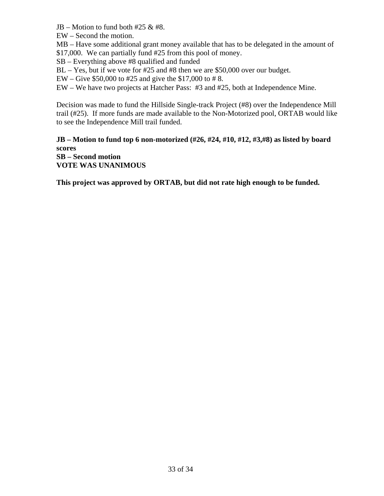JB – Motion to fund both #25 & #8.

EW – Second the motion.

MB – Have some additional grant money available that has to be delegated in the amount of \$17,000. We can partially fund #25 from this pool of money.

SB – Everything above #8 qualified and funded

BL – Yes, but if we vote for #25 and #8 then we are \$50,000 over our budget.

EW – Give \$50,000 to #25 and give the \$17,000 to # 8.

EW – We have two projects at Hatcher Pass: #3 and #25, both at Independence Mine.

Decision was made to fund the Hillside Single-track Project (#8) over the Independence Mill trail (#25). If more funds are made available to the Non-Motorized pool, ORTAB would like to see the Independence Mill trail funded.

#### **JB – Motion to fund top 6 non-motorized (#26, #24, #10, #12, #3,#8) as listed by board scores SB – Second motion VOTE WAS UNANIMOUS**

**This project was approved by ORTAB, but did not rate high enough to be funded.**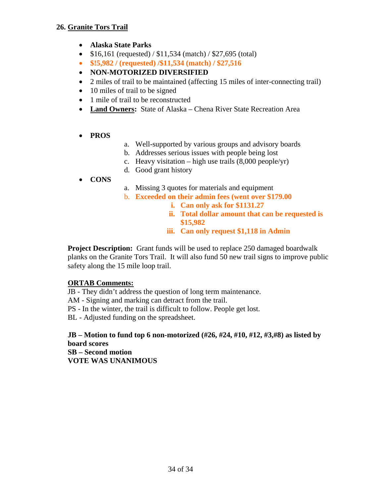- **Alaska State Parks**
- $$16,161$  (requested) /  $$11,534$  (match) /  $$27,695$  (total)
- **\$!5,982 / (requested) /\$11,534 (match) / \$27,516**
- **NON-MOTORIZED DIVERSIFIED**
- 2 miles of trail to be maintained (affecting 15 miles of inter-connecting trail)
- 10 miles of trail to be signed
- 1 mile of trail to be reconstructed
- **Land Owners:** State of Alaska Chena River State Recreation Area
- **PROS**
- a. Well-supported by various groups and advisory boards
- b. Addresses serious issues with people being lost
- c. Heavy visitation high use trails  $(8,000 \text{ people/yr})$
- d. Good grant history
- **CONS**
- a. Missing 3 quotes for materials and equipment
- b. **Exceeded on their admin fees (went over \$179.00** 
	- **i. Can only ask for \$1131.27**
	- **ii. Total dollar amount that can be requested is \$15,982**
	- **iii. Can only request \$1,118 in Admin**

**Project Description:** Grant funds will be used to replace 250 damaged boardwalk planks on the Granite Tors Trail. It will also fund 50 new trail signs to improve public safety along the 15 mile loop trail.

#### **ORTAB Comments:**

JB - They didn't address the question of long term maintenance.

- AM Signing and marking can detract from the trail.
- PS In the winter, the trail is difficult to follow. People get lost.
- BL Adjusted funding on the spreadsheet.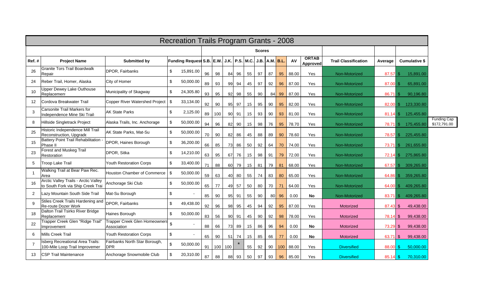| <b>Recreation Trails Program Grants - 2008</b> |                                                                                  |                                                     |                |                           |    |     |     |    |                  |    |                    |     |       |                          |                             |            |                              |                                    |
|------------------------------------------------|----------------------------------------------------------------------------------|-----------------------------------------------------|----------------|---------------------------|----|-----|-----|----|------------------|----|--------------------|-----|-------|--------------------------|-----------------------------|------------|------------------------------|------------------------------------|
| <b>Scores</b>                                  |                                                                                  |                                                     |                |                           |    |     |     |    |                  |    |                    |     |       |                          |                             |            |                              |                                    |
| Ref.#                                          | <b>Project Name</b>                                                              | <b>Submitted by</b>                                 |                | Funding Request S.B. E.W. |    |     |     |    | $J.K.$ P.S. M.C. |    | $J.B.$ A.M. $B.L.$ |     | AV    | <b>ORTAB</b><br>Approved | <b>Trail Classification</b> | Average    | <b>Cumulative \$</b>         |                                    |
| 26                                             | <b>Granite Tors Trail Boardwalk</b><br>Repair                                    | DPOR, Fairbanks                                     | \$             | 15,891.00                 | 96 | 98  | 84  | 96 | 55               | 97 | 87                 | 95  | 88.00 | Yes                      | Non-Motorized               | 87.57      | S.<br>15,891.00              |                                    |
| 24                                             | Reber Trail, Homer, Alaska                                                       | City of Homer                                       | \$             | 50,000.00                 | 89 | 93  | -99 | 94 | 45               | 97 | 92                 | 96  | 87.00 | Yes                      | Non-Motorized               | 87.00      | 65,891.00<br>\$              |                                    |
| 10                                             | <b>Upper Dewey Lake Outhouse</b><br>Replacemen <sup>®</sup>                      | Municipality of Skagway                             | \$             | 24,305.80                 | 93 | 95  | 92  | 98 | 55               | 90 | 84                 | 99  | 87.00 | Yes                      | Non-Motorized               | 86.71      | \$<br>90,196.80              |                                    |
| 12 <sub>2</sub>                                | Cordova Breakwater Trail                                                         | Copper River Watershed Project                      | -\$            | 33,134.00                 | 92 | 90  | 95  | 97 | 15               | 95 | 90                 | 95  | 82.00 | Yes                      | Non-Motorized               | 82.00      | 123,330.80<br>S.             |                                    |
| 3                                              | <b>Carsonite Trail Markers for</b><br>Independence Mine Ski Trail:               | <b>AK State Parks</b>                               | \$             | 2,125.00                  | 89 | 100 | 90  | 91 | 15               | 93 | 90                 | 93  | 81.00 | Yes                      | Non-Motorized               | 81.14      | 125,455.80<br>S.             |                                    |
| 8                                              | Hillside Singletrack Project                                                     | Alaska Trails, Inc. Anchorage                       | \$             | 50,000.00                 | 94 | 96  | 82  | 90 | 15               | 98 | 76                 | 95  | 78.70 | Yes                      | Non-Motorized               | 78.71      | 175,455.80<br>\$             | <b>Funding Cap</b><br>\$172,791.00 |
| 25                                             | Historic Independence Mill Trail<br>Reconstruction, Upgrade                      | AK State Parks, Mat-Su                              | \$             | 50,000.00                 | 70 | 90  | 82  | 86 | 45               | 88 | 89                 | 90  | 78.60 | Yes                      | Non-Motorized               | $78.57$ \$ | 225,455.80                   |                                    |
| 15                                             | <b>Battery Point Trail Rehabilitation</b><br>Phase II                            | DPOR, Haines Borough                                | \$             | 36,200.00                 | 66 | 85  | 73  | 86 | 50               | 92 | 64                 | 70  | 74.00 | Yes                      | Non-Motorized               | $73.71$ \$ | 261,655.80                   |                                    |
| 23                                             | Forest and Muskeg Trail<br>Restoration                                           | DPOR, Sitka                                         | \$             | 14,210.00                 | 63 | 95  | 67  | 76 | 15 <sub>1</sub>  | 98 | 91                 | 79  | 72.00 | Yes                      | Non-Motorized               | 72.14      | 275,865.80<br>$\mathbb{S}^-$ |                                    |
| 5                                              | Troop Lake Trail                                                                 | Youth Restoration Corps                             | \$             | 33,400.00                 | 71 | 88  | 60  | 79 | 15               | 81 | 79                 | 81  | 68.00 | Yes                      | Non-Motorized               | 67.57      | 309,265.80<br>S.             |                                    |
| $\mathbf{1}$                                   | Walking Trail at Bear Paw Rec.<br>Area                                           | <b>Houston Chamber of Commerce</b>                  | -\$            | 50,000.00                 | 59 | 63  | 40  | 80 | 55               | 74 | 83                 | 80  | 65.00 | Yes                      | Non-Motorized               | 64.86 \$   | 359,265.80                   |                                    |
| 16                                             | <b>Arctic Valley Trails - Arctic Valley</b><br>to South Fork via Ship Creek Trai | Anchorage Ski Club                                  | \$             | 50,000.00                 | 65 | 77  | 49  | 57 | 50               | 80 | 70                 | 71  | 64.00 | Yes                      | Non-Motorized               | 64.00      | 409,265.80<br>\$             |                                    |
| $\overline{2}$                                 | Lazy Mountain South Side Trail                                                   | Mat-Su Borough                                      | \$             |                           | 85 | 90  | 95  | 91 | 55               | 90 | 80                 | 96  | 0.00  | No                       | Non-Motorized               | 83.71      | 409,265.80<br>S.             |                                    |
| 9                                              | <b>Stiles Creek Trails Hardening and</b><br>Re-route Dozer Work                  | DPOR, Fairbanks                                     | \$             | 49,438.00                 | 92 | 96  | 98  | 95 | 45               | 94 | 92                 | 95  | 87.00 | Yes                      | Motorized                   | 87.43      | 49,438.00<br>\$              |                                    |
| 18                                             | Dalton Trail Tsirko River Bridge<br>Replacemen <sup>®</sup>                      | Haines Borough                                      | \$             | 50,000.00                 | 83 | 56  | 90  | 91 | 45               | 90 | 92                 | 98  | 78.00 | Yes                      | Motorized                   | $78.14$ \$ | 99,438.00                    |                                    |
| 22                                             | Trapper Creek Glen "Ridge Trail"<br>Improvement                                  | <b>Trapper Creek Glen Homeowners</b><br>Association | $\mathfrak{L}$ |                           | 88 | 66  | 73  | 89 | 15               | 86 | 96                 | 94  | 0.00  | No                       | Motorized                   | 73.29 \$   | 99,438.00                    |                                    |
| 6                                              | <b>Mills Creek Trail</b>                                                         | Youth Restoration Corps                             | $\mathfrak{S}$ |                           | 65 | 90  | 51  | 74 | 15               | 85 | 66                 | 77  | 0.00  | <b>No</b>                | Motorized                   | $63.71$ \$ | 99,438.00                    |                                    |
| $\overline{7}$                                 | <b>Isberg Recreational Area Trails:</b><br>100-Mile Loop Trail Improvemer        | Fairbanks North Star Borough,<br><b>DPR</b>         | \$             | 50,000.00                 | 91 | 100 | 100 |    | 55               | 92 | 90                 | 100 | 88.00 | Yes                      | <b>Diversified</b>          | 88.00      | 50,000.00<br>\$              |                                    |
| 13                                             | <b>CSP Trail Maintenance</b>                                                     | Anchorage Snowmobile Club                           | \$             | 20,310.00                 | 87 | 88  | 88  | 93 | 50               | 97 | 93                 | 96  | 85.00 | Yes                      | <b>Diversified</b>          | $85.14$ \$ | 70,310.00                    |                                    |